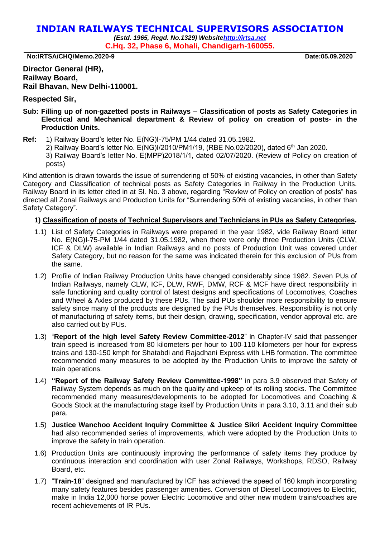# **INDIAN RAILWAYS TECHNICAL SUPERVISORS ASSOCIATION**

*(Estd. 1965, Regd. No.1329) Websit[ehttp://irtsa.net](http://irtsa.net/)* **C.Hq. 32, Phase 6, Mohali, Chandigarh-160055.**

**No:IRTSA/CHQ/Memo.2020-9 Date:05.09.2020**

## **Director General (HR), Railway Board, Rail Bhavan, New Delhi-110001.**

### **Respected Sir,**

- **Sub: Filling up of non-gazetted posts in Railways – Classification of posts as Safety Categories in Electrical and Mechanical department & Review of policy on creation of posts- in the Production Units.**
- **Ref:** 1) Railway Board's letter No. E(NG)I-75/PM 1/44 dated 31.05.1982.
	- 2) Railway Board's letter No. E(NG)I/2010/PM1/19, (RBE No.02/2020), dated 6<sup>th</sup> Jan 2020.
	- 3) Railway Board's letter No. E(MPP)2018/1/1, dated 02/07/2020. (Review of Policy on creation of posts)

Kind attention is drawn towards the issue of surrendering of 50% of existing vacancies, in other than Safety Category and Classification of technical posts as Safety Categories in Railway in the Production Units. Railway Board in its letter cited in at Sl. No. 3 above, regarding "Review of Policy on creation of posts" has directed all Zonal Railways and Production Units for "Surrendering 50% of existing vacancies, in other than Safety Category".

### **1) Classification of posts of Technical Supervisors and Technicians in PUs as Safety Categories.**

- 1.1) List of Safety Categories in Railways were prepared in the year 1982, vide Railway Board letter No. E(NG)I-75-PM 1/44 dated 31.05.1982, when there were only three Production Units (CLW, ICF & DLW) available in Indian Railways and no posts of Production Unit was covered under Safety Category, but no reason for the same was indicated therein for this exclusion of PUs from the same.
- 1.2) Profile of Indian Railway Production Units have changed considerably since 1982. Seven PUs of Indian Railways, namely CLW, ICF, DLW, RWF, DMW, RCF & MCF have direct responsibility in safe functioning and quality control of latest designs and specifications of Locomotives, Coaches and Wheel & Axles produced by these PUs. The said PUs shoulder more responsibility to ensure safety since many of the products are designed by the PUs themselves. Responsibility is not only of manufacturing of safety items, but their design, drawing, specification, vendor approval etc. are also carried out by PUs.
- 1.3) "**Report of the high level Safety Review Committee-2012**" in Chapter-IV said that passenger train speed is increased from 80 kilometers per hour to 100-110 kilometers per hour for express trains and 130-150 kmph for Shatabdi and Rajadhani Express with LHB formation. The committee recommended many measures to be adopted by the Production Units to improve the safety of train operations.
- 1.4) **"Report of the Railway Safety Review Committee-1998"** in para 3.9 observed that Safety of Railway System depends as much on the quality and upkeep of its rolling stocks. The Committee recommended many measures/developments to be adopted for Locomotives and Coaching & Goods Stock at the manufacturing stage itself by Production Units in para 3.10, 3.11 and their sub para.
- 1.5) **Justice Wanchoo Accident Inquiry Committee & Justice Sikri Accident Inquiry Committee** had also recommended series of improvements, which were adopted by the Production Units to improve the safety in train operation.
- 1.6) Production Units are continuously improving the performance of safety items they produce by continuous interaction and coordination with user Zonal Railways, Workshops, RDSO, Railway Board, etc.
- 1.7) "**Train-18**" designed and manufactured by ICF has achieved the speed of 160 kmph incorporating many safety features besides passenger amenities. Conversion of Diesel Locomotives to Electric, make in India 12,000 horse power Electric Locomotive and other new modern trains/coaches are recent achievements of IR PUs.